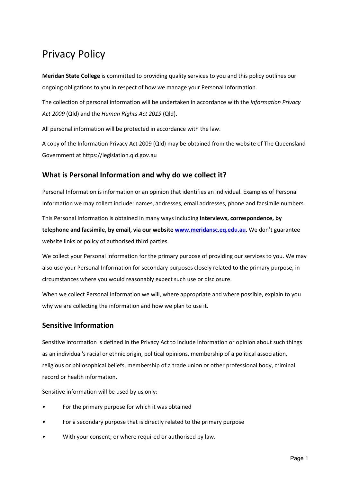# Privacy Policy

**Meridan State College** is committed to providing quality services to you and this policy outlines our ongoing obligations to you in respect of how we manage your Personal Information.

The collection of personal information will be undertaken in accordance with the *Information Privacy Act 2009* (Qld) and the *Human Rights Act 2019* (Qld).

All personal information will be protected in accordance with the law.

A copy of the Information Privacy Act 2009 (Qld) may be obtained from the website of The Queensland Government at https://legislation.qld.gov.au

# **What is Personal Information and why do we collect it?**

Personal Information is information or an opinion that identifies an individual. Examples of Personal Information we may collect include: names, addresses, email addresses, phone and facsimile numbers.

This Personal Information is obtained in many ways including **interviews, correspondence, by telephone and facsimile, by email, via our websit[e www.meridansc.eq.edu.au](http://www.meridansc.eq.edu.au/)**. We don't guarantee website links or policy of authorised third parties.

We collect your Personal Information for the primary purpose of providing our services to you. We may also use your Personal Information for secondary purposes closely related to the primary purpose, in circumstances where you would reasonably expect such use or disclosure.

When we collect Personal Information we will, where appropriate and where possible, explain to you why we are collecting the information and how we plan to use it.

# **Sensitive Information**

Sensitive information is defined in the Privacy Act to include information or opinion about such things as an individual's racial or ethnic origin, political opinions, membership of a political association, religious or philosophical beliefs, membership of a trade union or other professional body, criminal record or health information.

Sensitive information will be used by us only:

- For the primary purpose for which it was obtained
- For a secondary purpose that is directly related to the primary purpose
- With your consent; or where required or authorised by law.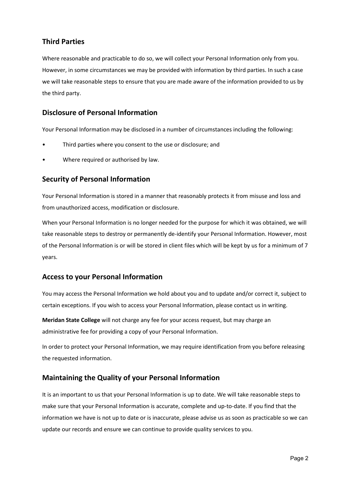# **Third Parties**

Where reasonable and practicable to do so, we will collect your Personal Information only from you. However, in some circumstances we may be provided with information by third parties. In such a case we will take reasonable steps to ensure that you are made aware of the information provided to us by the third party.

#### **Disclosure of Personal Information**

Your Personal Information may be disclosed in a number of circumstances including the following:

- Third parties where you consent to the use or disclosure; and
- Where required or authorised by law.

#### **Security of Personal Information**

Your Personal Information is stored in a manner that reasonably protects it from misuse and loss and from unauthorized access, modification or disclosure.

When your Personal Information is no longer needed for the purpose for which it was obtained, we will take reasonable steps to destroy or permanently de-identify your Personal Information. However, most of the Personal Information is or will be stored in client files which will be kept by us for a minimum of 7 years.

#### **Access to your Personal Information**

You may access the Personal Information we hold about you and to update and/or correct it, subject to certain exceptions. If you wish to access your Personal Information, please contact us in writing.

**Meridan State College** will not charge any fee for your access request, but may charge an administrative fee for providing a copy of your Personal Information.

In order to protect your Personal Information, we may require identification from you before releasing the requested information.

#### **Maintaining the Quality of your Personal Information**

It is an important to us that your Personal Information is up to date. We will take reasonable steps to make sure that your Personal Information is accurate, complete and up-to-date. If you find that the information we have is not up to date or is inaccurate, please advise us as soon as practicable so we can update our records and ensure we can continue to provide quality services to you.